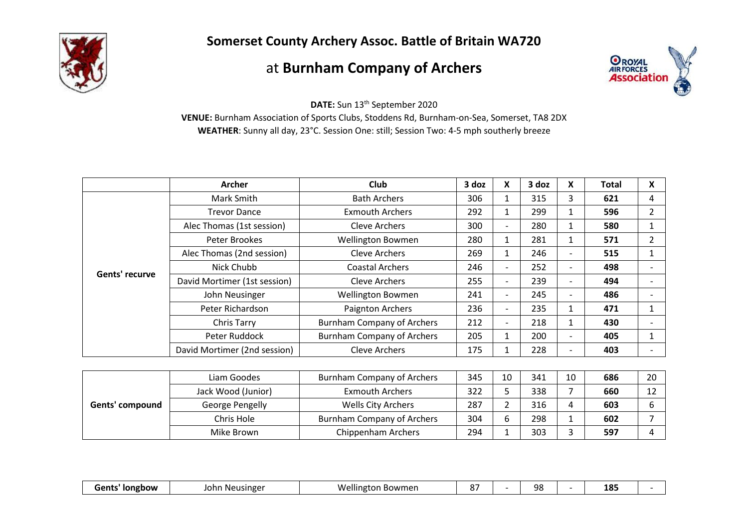

**Somerset County Archery Assoc. Battle of Britain WA720**

## at **Burnham Company of Archers**



**DATE:** Sun 13 th September 2020

**VENUE:** Burnham Association of Sports Clubs, Stoddens Rd, Burnham-on-Sea, Somerset, TA8 2DX **WEATHER**: Sunny all day, 23°C. Session One: still; Session Two: 4-5 mph southerly breeze

|                | <b>Archer</b>                | <b>Club</b>                       | 3 doz | X                        | 3 doz | X                        | <b>Total</b> | X              |
|----------------|------------------------------|-----------------------------------|-------|--------------------------|-------|--------------------------|--------------|----------------|
| Gents' recurve | Mark Smith                   | <b>Bath Archers</b>               | 306   | 1                        | 315   | 3                        | 621          | 4              |
|                | <b>Trevor Dance</b>          | <b>Exmouth Archers</b>            | 292   |                          | 299   | $\mathbf{1}$             | 596          | $\overline{2}$ |
|                | Alec Thomas (1st session)    | <b>Cleve Archers</b>              | 300   | $\overline{\phantom{a}}$ | 280   | $\mathbf{1}$             | 580          |                |
|                | Peter Brookes                | <b>Wellington Bowmen</b>          | 280   |                          | 281   | $\mathbf{1}$             | 571          | $\overline{2}$ |
|                | Alec Thomas (2nd session)    | <b>Cleve Archers</b>              | 269   | 1                        | 246   | $\overline{\phantom{a}}$ | 515          |                |
|                | Nick Chubb                   | <b>Coastal Archers</b>            | 246   | $\overline{\phantom{a}}$ | 252   | $\overline{\phantom{a}}$ | 498          |                |
|                | David Mortimer (1st session) | <b>Cleve Archers</b>              | 255   | $\overline{\phantom{a}}$ | 239   | $\overline{\phantom{a}}$ | 494          |                |
|                | John Neusinger               | <b>Wellington Bowmen</b>          | 241   | $\overline{\phantom{a}}$ | 245   | $\overline{\phantom{a}}$ | 486          |                |
|                | Peter Richardson             | Paignton Archers                  | 236   | $\overline{\phantom{a}}$ | 235   | $\mathbf{1}$             | 471          |                |
|                | Chris Tarry                  | <b>Burnham Company of Archers</b> | 212   | $\overline{\phantom{a}}$ | 218   | $\mathbf{1}$             | 430          |                |
|                | Peter Ruddock                | <b>Burnham Company of Archers</b> | 205   | 1                        | 200   | $\overline{\phantom{a}}$ | 405          |                |
|                | David Mortimer (2nd session) | <b>Cleve Archers</b>              | 175   | 1                        | 228   | $\overline{\phantom{a}}$ | 403          |                |

| Gents' compound | Liam Goodes        | Burnham Company of Archers | 345 | 10 | 341 | 10 | 686 | 20                   |
|-----------------|--------------------|----------------------------|-----|----|-----|----|-----|----------------------|
|                 | Jack Wood (Junior) | <b>Exmouth Archers</b>     | 322 |    | 338 |    | 660 | $\overline{1}$<br>ᅩᄼ |
|                 | George Pengelly    | <b>Wells City Archers</b>  | 287 |    | 316 | 4  | 603 |                      |
|                 | Chris Hole         | Burnham Company of Archers | 304 |    | 298 |    | 602 |                      |
|                 | Mike Brown         | Chippenham Archers         | 294 |    | 303 |    | 597 |                      |

| <br>usinger_<br>lohr<br><b>Iongbow</b><br>owmer<br>Gent.<br>NΑ<br>w<br>ulnet<br>.<br>. . | - - |  | no<br>JC |  | 1 O <sup>r</sup><br>TO: |  |
|------------------------------------------------------------------------------------------|-----|--|----------|--|-------------------------|--|
|------------------------------------------------------------------------------------------|-----|--|----------|--|-------------------------|--|